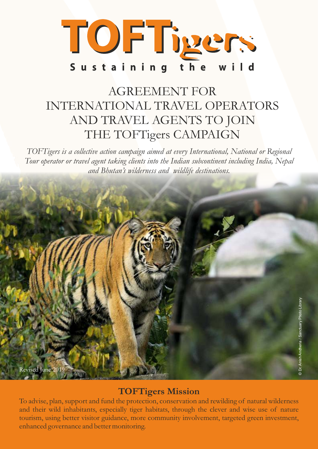

### AGREEMENT FOR INTERNATIONAL TRAVEL OPERATORS AND TRAVEL AGENTS TO JOIN THE TOFTigers CAMPAIGN

*TOFTigers is a collective action campaign aimed at every International, National or Regional Tour operator or travel agent taking clients into the Indian subcontinent including India, Nepal and Bhutan's wilderness and wildlife destinations.* 



#### **TOFTigers Mission**

To advise, plan, support and fund the protection, conservation and rewilding of natural wilderness and their wild inhabitants, especially tiger habitats, through the clever and wise use of nature tourism, using better visitor guidance, more community involvement, targeted green investment, enhanced governance and better monitoring.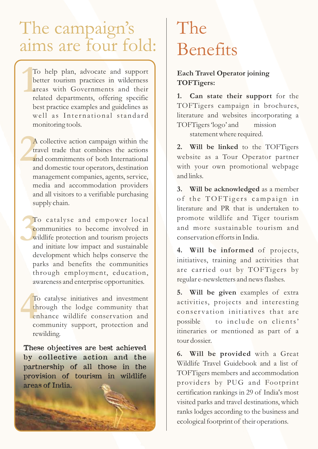## The campaign's aims are four fold:

T<br>b<br>a<br>re To help plan, advocate and support better tourism practices in wilderness areas with Governments and their related departments, offering specific best practice examples and guidelines as well as International standard monitoring tools.

**2**<br>**1**<br>**2**<br>**2**<br>**2**<br>**2**<br>**2** A collective action campaign within the travel trade that combines the actions and commitments of both International and domestic tour operators, destination management companies, agents, service, media and accommodation providers and all visitors to a verifiable purchasing supply chain.

**3**<br>**3**<br>**3**<br>**3**<br>**3**<br>**3** To catalyse and empower local communities to become involved in wildlife protection and tourism projects and initiate low impact and sustainable development which helps conserve the parks and benefits the communities through employment, education, awareness and enterprise opportunities.

To catalyse initiatives and investment through the lodge community that enhance wildlife conservation and community support, protection and rewilding. **4**<br>  $\frac{1}{2}$ <br>  $\frac{1}{2}$ <br>  $\frac{1}{2}$ <br>  $\frac{1}{2}$ <br>  $\frac{1}{2}$ <br>  $\frac{1}{2}$ <br>  $\frac{1}{2}$ <br>  $\frac{1}{2}$ <br>  $\frac{1}{2}$ <br>  $\frac{1}{2}$ <br>  $\frac{1}{2}$ <br>  $\frac{1}{2}$ 

These objectives are best achieved by collective action and the partnership of all those in the provision of tourism in wildlife areas of India.

## The Benefits

#### **Each Travel Operator joining TOFTigers:**

**1. Can state their support** for the TOFTigers campaign in brochures, literature and websites incorporating a TOFTigers 'logo' and mission

statement where required.

**2. Will be linked** to the TOFTigers website as a Tour Operator partner with your own promotional webpage and links.

**3. Will be acknowledged** as a member of the TOFTigers campaign in literature and PR that is undertaken to promote wildlife and Tiger tourism and more sustainable tourism and conservation efforts in India.

**4. Will be informed** of projects, initiatives, training and activities that are carried out by TOFTigers by regular e-newsletters and news flashes.

**5. Will be given** examples of extra activities, projects and interesting conservation initiatives that are possible to include on clients' itineraries or mentioned as part of a tour dossier.

**6. Will be provided** with a Great Wildlife Travel Guidebook and a list of TOFTigers members and accommodation providers by PUG and Footprint certification rankings in 29 of India's most visited parks and travel destinations, which ranks lodges according to the business and ecological footprint of their operations.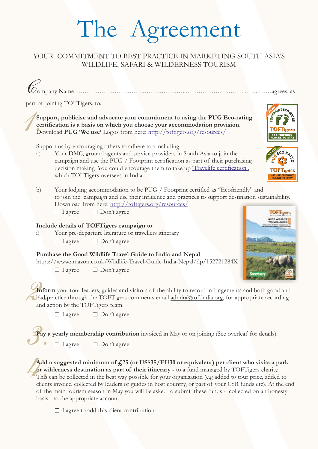# The Agreement

#### YOUR COMMITMENT TO BEST PRACTICE IN MARKETING SOUTH ASIA'S WILDLIFE, SAFARI & WILDERNESS TOURISM

*C*ompany Name……………………………………………..……………………….…….……agrees, as

part of joining TOFTigers, to:<br> **Support, publicise and a**<br> **certification is a basis of<br>
Download PUG 'We use' Support, publicise and advocate your commitment to using the PUG Eco-rating certification is a basis on which you choose your accommodation provision.**  Download **PUG 'We use'** Logos from here: http://toftigers.org/resources/

Support us by encouraging others to adhere too including:

- a) Your DMC, ground agents and service providers in South Asia to join the campaign and use the PUG / Footprint certification as part of their purchasing decision making. You could encourage them to take up *Travelife certification*', which TOFTigers oversees in India.
- $\Box$  I agree b) Your lodging accommodation to be PUG / Footprint certified as "Ecofriendly" and to join the campaign and use their influence and practices to support destination sustainability. Download from here: http://toftigers.org/resources/ □ Don't agree

#### **Include details of TOFTigers campaign to**

Your pre-departure literature or travellers itinerary  $\Box$  I agree □ Don't agree

#### **Purchase the Good Wildlife Travel Guide to India and Nepal**

https://www.amazon.co.uk/Wildlife-Travel-Guide-India-Nepal/dp/152721284X

 $\Box$  I agree □ Don't agree



NATURE FRIENDLY PLACES TO STAY

INT ECO

**WE USE** 

**2.**<br>**2.**<br>**2.**<br>**2.**<br>**2.**<br>**2.**<br>**2.** Inform your tour leaders, guides and visitors of the ability to record infringements and both good and bad practice through the TOFTigers comments email admin@toftindia.org, for appropriate recording and action by the TOFTigers team.

 $\Box$  I agree  $\Box$  Don't agree

**Pay a yearly membership contribution** invoiced in May or on joining (See overleaf for details). **3.** Bontagree<br>**1.** I agree Don't agree

**Add a suggested minimum of £25 (or US\$35/EU30 or equivalent) per client who visits a park or wilderness destination as part of their itinerary -** to a fund managed by TOFTigers charity. This can be collected in the best way possible for your organisation (e.g added to tour price, added to clients invoice, collected by leaders or guides in host country, or part of your CSR funds etc). At the end of the main tourism season in May you will be asked to submit these funds - collected on an honesty basis - to the appropriate account. Add or with This client

 $\Box$  I agree to add this client contribution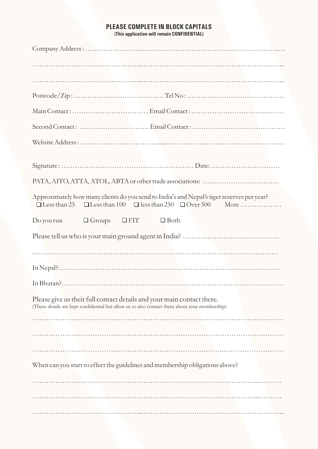#### **PLEASE COMPLETE IN BLOCK CAPITALS**

**(This application will remain CONFIDENTIAL)**

| Approximately how many clients do you send to India's and Nepal's tiger reserves per year?                                                                              |                          |             |  |  |
|-------------------------------------------------------------------------------------------------------------------------------------------------------------------------|--------------------------|-------------|--|--|
| $Do$ you run                                                                                                                                                            | $\Box$ Groups $\Box$ FIT | $\Box$ Both |  |  |
|                                                                                                                                                                         |                          |             |  |  |
|                                                                                                                                                                         |                          |             |  |  |
|                                                                                                                                                                         |                          |             |  |  |
|                                                                                                                                                                         |                          |             |  |  |
| Please give us their full contact details and your main contact there.<br>(These details are kept confidential but allow us to also contact them about your membership) |                          |             |  |  |
|                                                                                                                                                                         |                          |             |  |  |
|                                                                                                                                                                         |                          |             |  |  |
| When can you start to effect the guidelines and membership obligations above?                                                                                           |                          |             |  |  |
|                                                                                                                                                                         |                          |             |  |  |
|                                                                                                                                                                         |                          |             |  |  |
|                                                                                                                                                                         |                          |             |  |  |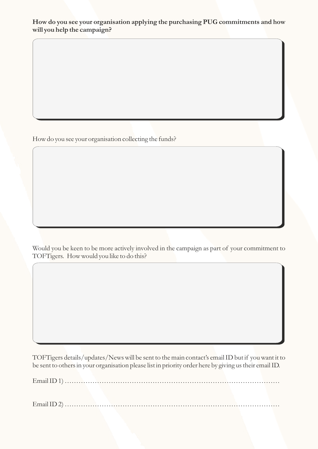#### **How do you see your organisation applying the purchasing PUG commitments and how will you help the campaign?**

How do you see your organisation collecting the funds?

Would you be keen to be more actively involved in the campaign as part of your commitment to TOFTigers. How would you like to do this?

TOFTigers details/updates/News will be sent to the main contact's email ID but if you want it to be sent to others in your organisation please list in priority order here by giving us their email ID.

Email ID 1) …………………………………………………………………………………

Email ID 2) …………………………………………………………………………………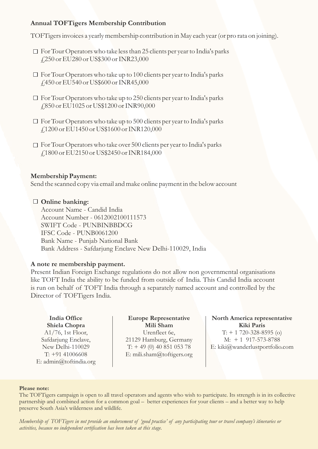#### **Annual TOFTigers Membership Contribution**

TOFTigers invoices a yearly membership contribution in May each year (or pro rata on joining).

- $\Box$  For Tour Operators who take less than 25 clients per year to India's parks £250 or EU280 or US\$300 or INR23,000
- $\Box$  For Tour Operators who take up to 100 clients per year to India's parks £450 or EU540 or US\$600 or INR45,000
- $\Box$  For Tour Operators who take up to 250 clients per year to India's parks £850 or EU1025 or US\$1200 or INR90,000
- $\Box$  For Tour Operators who take up to 500 clients per year to India's parks £1200 or EU1450 or US\$1600 or INR120,000
- $\Box$  For Tour Operators who take over 500 clients per year to India's parks £1800 or EU2150 or US\$2450 or INR184,000

#### **Membership Payment:**

Send the scanned copy via email and make online payment in the below account

#### **Online banking:**

Account Name - Candid India Account Number - 0612002100111573 SWIFT Code - PUNBINBBDCG IFSC Code - PUNB0061200 Bank Name - Punjab National Bank Bank Address - Safdarjung Enclave New Delhi-110029, India

#### **A note re membership payment.**

Present Indian Foreign Exchange regulations do not allow non governmental organisations like TOFT India the ability to be funded from outside of India. This Candid India account is run on behalf of TOFT India through a separately named account and controlled by the Director of TOFTigers India.

**India Office Shiela Chopra** A1/76, 1st Floor, Safdarjung Enclave, New Delhi-110029 T: +91 41006608 E: admin@toftindia.org

**Europe Representative Mili Sham** Urenfleet 6e, 21129 Hamburg, Germany  $T: +49(0)4085105378$ E: mili.sham@toftigers.org

**North America representative Kiki Paris**   $T: + 1720 - 328 - 8595$  (o) M: + 1 917-573-8788 E: kiki@wanderlustportfolio.com

#### **Please note:**

The TOFTigers campaign is open to all travel operators and agents who wish to participate. Its strength is in its collective partnership and combined action for a common goal – better experiences for your clients – and a better way to help preserve South Asia's wilderness and wildlife.

*Membership of TOFTigers in not provide an endorsement of 'good practice' of any participating tour or travel company's itineraries or activities, because no independent certification has been taken at this stage.*